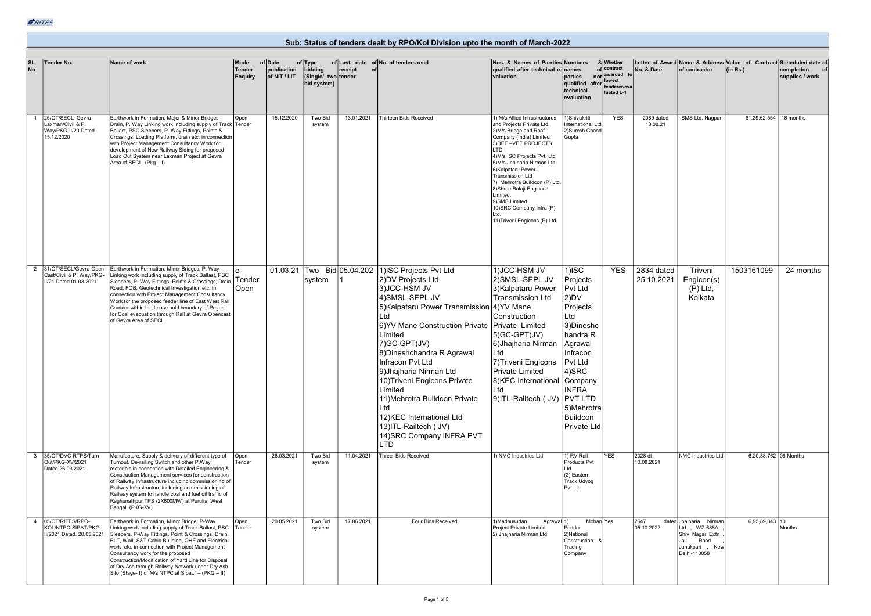## Sub: Status of tenders dealt by RPO/Kol Division upto the month of March-2022

| <b>SL</b><br>No | Tender No.                                                                             | Name of work                                                                                                                                                                                                                                                                                                                                                                                                                                                             | Mode                            | of Date                     | of Type                                       |               | of Last date of No. of tenders recd                                                                                                                                                                                                                                                                                                                                                                                                                                                                           | Nos. & Names of Parrties Numbers                                                                                                                                                                                                                                                                                                                                                                                                  |                                                                                                                                                                                                     | & Whether<br>of contract                            |                          |                                                                                                                 | Letter of Award Name & Address Value of Contract Scheduled date of |                               |
|-----------------|----------------------------------------------------------------------------------------|--------------------------------------------------------------------------------------------------------------------------------------------------------------------------------------------------------------------------------------------------------------------------------------------------------------------------------------------------------------------------------------------------------------------------------------------------------------------------|---------------------------------|-----------------------------|-----------------------------------------------|---------------|---------------------------------------------------------------------------------------------------------------------------------------------------------------------------------------------------------------------------------------------------------------------------------------------------------------------------------------------------------------------------------------------------------------------------------------------------------------------------------------------------------------|-----------------------------------------------------------------------------------------------------------------------------------------------------------------------------------------------------------------------------------------------------------------------------------------------------------------------------------------------------------------------------------------------------------------------------------|-----------------------------------------------------------------------------------------------------------------------------------------------------------------------------------------------------|-----------------------------------------------------|--------------------------|-----------------------------------------------------------------------------------------------------------------|--------------------------------------------------------------------|-------------------------------|
|                 |                                                                                        |                                                                                                                                                                                                                                                                                                                                                                                                                                                                          | <b>Tender</b><br><b>Enquiry</b> | publication<br>of NIT / LIT | bidding<br>(Single/ two tender<br>bid system) | receipt<br>of |                                                                                                                                                                                                                                                                                                                                                                                                                                                                                                               | qualified after technical e-names<br>valuation                                                                                                                                                                                                                                                                                                                                                                                    | parties<br>qualified after<br>technical<br>evaluation                                                                                                                                               | not awarded<br>lowest<br>tenderer/eva<br>luated L-1 | No. & Date               | of contractor                                                                                                   | (in Rs.)                                                           | completion<br>supplies / work |
|                 | 25/OT/SECL-Gevra-<br>Laxman/Civil & P.<br>Way/PKG-II/20 Dated<br>15.12.2020            | Earthwork in Formation, Major & Minor Bridges,<br>Drain, P. Way Linking work including supply of Track Tender<br>Ballast, PSC Sleepers, P. Way Fittings, Points &<br>Crossings, Loading Platform, drain etc. in connection<br>with Project Management Consultancy Work for<br>development of New Railway Siding for proposed<br>Load Out System near Laxman Project at Gevra<br>Area of SECL. (Pkg - I)                                                                  | Open                            | 15.12.2020                  | Two Bid<br>svstem                             | 13.01.2021    | <b>Thirteen Bids Received</b>                                                                                                                                                                                                                                                                                                                                                                                                                                                                                 | 1) M/s Allied Infrastructures<br>and Projects Private Ltd.<br>2) M/s Bridge and Roof<br>Company (India) Limited.<br>3) DEE - VEE PROJECTS<br>LTD<br>4) M/s ISC Projects Pvt. Ltd<br>5)M/s Jhajharia Nirman Ltd<br>6) Kalpataru Power<br><b>Transmission Ltd</b><br>7). Mehrotra Buildcon (P) Ltd.<br>8) Shree Balaji Engicons<br>hetimi I<br>9)SMS Limited.<br>10) SRC Company Infra (P)<br>ht I<br>11) Triveni Engicons (P) Ltd. | 1)Shivakriti<br>nternational Ltd<br>2)Suresh Chand<br>Gupta                                                                                                                                         | <b>YES</b>                                          | 2089 dated<br>18.08.21   | SMS Ltd, Nagpur                                                                                                 | 61,29,62,554   18 months                                           |                               |
|                 | 31/OT/SECL/Gevra-Open<br>2<br>Cast/Civil & P. Way/PKG-<br>II/21 Dated 01.03.2021       | Earthwork in Formation, Minor Bridges, P. Way<br>Linking work including supply of Track Ballast, PSC<br>Sleepers, P. Way Fittings, Points & Crossings, Drain<br>Road, FOB, Geotechnical Investigation etc. in<br>connection with Project Management Consultancy<br>Work for the proposed feeder line of East West Rail<br>Corridor within the Lease hold boundary of Project<br>for Coal evacuation through Rail at Gevra Opencast<br>of Gevra Area of SECL              | Tender<br>Open                  |                             | system                                        |               | 01.03.21 Two Bid 05.04.202 1)ISC Projects Pvt Ltd<br>2)DV Projects Ltd<br>3)JCC-HSM JV<br>4)SMSL-SEPL JV<br>5) Kalpataru Power Transmission 4) YV Mane<br>ht I<br>6)YV Mane Construction Private   Private Limited<br>Limited<br>7) GC-GPT(JV)<br>8) Dineshchandra R Agrawal<br>Infracon Pvt Ltd<br>9)Jhajharia Nirman Ltd<br>10) Triveni Engicons Private<br>Limited<br>11)Mehrotra Buildcon Private<br>Ltd<br>12) KEC International Ltd<br>13) ITL-Railtech (JV)<br>14) SRC Company INFRA PVT<br><b>LTD</b> | 1) JCC-HSM JV<br>2) SMSL-SEPL JV<br>3) Kalpataru Power<br><b>Transmission Ltd</b><br>Construction<br>5)GC-GPT(JV)<br>6) Jhajharia Nirman<br>Ltd<br>7) Triveni Engicons<br><b>Private Limited</b><br>8) KEC International Company<br>Ltd<br>9)ITL-Railtech ( JV) PVT LTD                                                                                                                                                           | $1)$ ISC<br>Projects<br>Pvt Ltd<br>$ 2)$ DV<br>Projects<br>Ltd<br>3) Dineshc<br>handra R<br>Agrawal<br>Infracon<br>Pvt Ltd<br>4)SRC<br><b>INFRA</b><br>5)Mehrotra<br><b>Buildcon</b><br>Private Ltd | <b>YES</b>                                          | 2834 dated<br>25.10.2021 | Triveni<br>Engicon(s)<br>$(P)$ Ltd,<br>Kolkata                                                                  | 1503161099                                                         | 24 months                     |
|                 | 35/OT/DVC-RTPS/Turn<br>$\mathbf{3}$<br>Out/PKG-XV/2021<br>Dated 26.03.2021.            | Manufacture, Supply & delivery of different type of<br>Turnout, De-railing Switch and other P.Way<br>materials in connection with Detailed Engineering &<br>Construction Management services for construction<br>of Railway Infrastructure including commissioning of<br>Railway Infrastructure including commissioning of<br>Railway system to handle coal and fuel oil traffic of<br>Raghunathpur TPS (2X600MW) at Purulia, West<br>Bengal, (PKG-XV)                   | Open<br>Tender                  | 26.03.2021                  | Two Bid<br>system                             | 11.04.2021    | Three Bids Received                                                                                                                                                                                                                                                                                                                                                                                                                                                                                           | 1) NMC Industries Ltd                                                                                                                                                                                                                                                                                                                                                                                                             | 1) RV Rail<br>Products Pvt<br>Ltd<br>(2) Eastern<br>Track Udyog<br>Pvt Ltd                                                                                                                          | <b>YES</b>                                          | 2028 dt<br>10.08.2021    | NMC Industries Ltd                                                                                              | 6,20,88,762 06 Months                                              |                               |
|                 | 05/OT/RITES/RPO-<br>$\overline{a}$<br>KOL/NTPC-SIPAT/PKG-<br>II/2021 Dated. 20.05.2021 | Earthwork in Formation, Minor Bridge, P-Way<br>Linking work including supply of Track Ballast, PSC<br>Sleepers, P-Way Fittings, Point & Crossings, Drain,<br>BLT, Wall, S&T Cabin Building, OHE and Electrical<br>work etc. in connection with Project Management<br>Consultancy work for the proposed<br>Construction/Modification of Yard Line for Disposal<br>of Dry Ash through Railway Network under Dry Ash<br>Silo (Stage- I) of M/s NTPC at Sipat." - (PKG - II) | Open<br>Tender                  | 20.05.2021                  | Two Bid<br>system                             | 17.06.2021    | Four Bids Received                                                                                                                                                                                                                                                                                                                                                                                                                                                                                            | 1)Madhusudan<br>Agrawal <sup>1</sup> )<br>Project Private Limited<br>2) Jhajharia Nirman Ltd                                                                                                                                                                                                                                                                                                                                      | Mohan Yes<br>Poddar<br>2) National<br>Construction<br>Trading<br>Company                                                                                                                            |                                                     | 2647<br>05.10.2022       | dated Jhajharia Nirman<br>Ltd., WZ-688A<br>Shiv Nagar Extn<br>Jail<br>Raod<br>Janakpuri,<br>New<br>Delhi-110058 | 6,95,89,343 10                                                     | Months                        |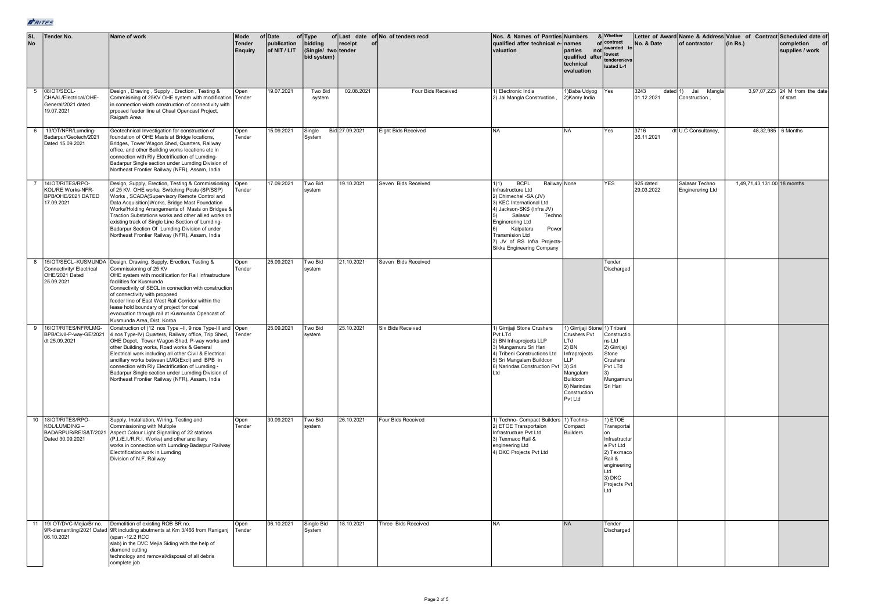| $\overline{\text{sL}}$<br>No | Tender No.                                                                       | Name of work                                                                                                                                                                                                                                                                                                                                                                                                                                                                        | Mode<br><b>Tender</b><br><b>Enquiry</b> | of Date<br>publication<br>of NIT / LIT | of Type<br>bidding<br>(Single/ two tender<br>bid system) | receipt<br>of  | of Last date of No. of tenders recd | Nos. & Names of Parrties Numbers<br>qualified after technical e-<br>valuation                                                                                                                                                                                                                   | names<br>parties<br>qualified after<br>technical<br>evaluation                                                                                                      | & Whether<br>of contract<br>not awarded<br>lowest<br>tenderer/eva<br>luated L-1                                                           | No. & Date              | of contractor                             | Letter of Award Name & Address Value of Contract Scheduled date of<br>(in Rs.) | completion<br>supplies / work              |
|------------------------------|----------------------------------------------------------------------------------|-------------------------------------------------------------------------------------------------------------------------------------------------------------------------------------------------------------------------------------------------------------------------------------------------------------------------------------------------------------------------------------------------------------------------------------------------------------------------------------|-----------------------------------------|----------------------------------------|----------------------------------------------------------|----------------|-------------------------------------|-------------------------------------------------------------------------------------------------------------------------------------------------------------------------------------------------------------------------------------------------------------------------------------------------|---------------------------------------------------------------------------------------------------------------------------------------------------------------------|-------------------------------------------------------------------------------------------------------------------------------------------|-------------------------|-------------------------------------------|--------------------------------------------------------------------------------|--------------------------------------------|
|                              | 5 08/OT/SECL-<br>CHAAL/Electrical/OHE-<br>General/2021 dated<br>19.07.2021       | Design, Drawing, Supply, Erection, Testing &<br>Commisining of 25KV OHE system with modification Tender<br>in connection wioth construction of connectivity with<br>prposed feeder line at Chaal Opencast Project,<br>Raigarh Area                                                                                                                                                                                                                                                  | Open                                    | 19.07.2021                             | Two Bid<br>system                                        | 02.08.2021     | Four Bids Received                  | 1) Electronic India<br>2) Jai Mangla Construction,                                                                                                                                                                                                                                              | 1) Baba Udyog<br>2)Kamy India                                                                                                                                       | Yes                                                                                                                                       | 3243<br>01.12.2021      | Mangla<br>dated 1) Jai<br>Construction,   |                                                                                | 3,97,07,223 24 M from the date<br>of start |
|                              | 6   13/OT/NFR/Lumding-<br>Badarpur/Geotech/2021<br>Dated 15.09.2021              | Geotechnical Investigation for construction of<br>foundation of OHE Masts at Bridge locations,<br>Bridges, Tower Wagon Shed, Quarters, Railway<br>office, and other Building works locations etc in<br>connection with Rly Electrification of Lumding-<br>Badarpur Single section under Lumding Division of<br>Northeast Frontier Railway (NFR), Assam, India                                                                                                                       | Open<br>Tender                          | 15.09.2021                             | Single<br>System                                         | Bid 27.09.2021 | Eight Bids Received                 | <b>NA</b>                                                                                                                                                                                                                                                                                       | <b>NA</b>                                                                                                                                                           | Yes                                                                                                                                       | 3716<br>26.11.2021      | dt U.C Consultancy,                       | 48,32,985 6 Months                                                             |                                            |
|                              | 14/OT/RITES/RPO-<br>KOL/RE Works-NFR-<br>BPB/OHE/2021 DATED<br>17.09.2021        | Design, Supply, Erection, Testing & Commissioning<br>of 25 KV, OHE works, Switching Posts (SP/SSP)<br>Works, SCADA(Supervisory Remote Control and<br>Data Acquisition) Works, Bridge Mast Foundation<br>Works/Holding Arrangements of Masts on Bridges &<br>raction Substations works and other allied works on<br>existing track of Single Line Section of Lumding-<br>Badarpur Section Of Lumding Division of under<br>Northeast Frontier Railway (NFR), Assam, India             | Open<br>Tender                          | 17.09.2021                             | Two Bid<br>system                                        | 19.10.2021     | Seven Bids Received                 | <b>BCPL</b><br>Railway None<br>1)1)<br>nfrastructure Ltd<br>2) Chimechel -SA (JV)<br>3) KEC International Ltd<br>4) Jackson-SKS (Infra JV)<br>Salasar<br>Techno<br><b>Enginerering Ltd</b><br>Kalpataru<br>Power<br>Transmision Ltd<br>7) JV of RS Infra Projects-<br>Sikka Engineering Company |                                                                                                                                                                     | <b>YES</b>                                                                                                                                | 925 dated<br>29.03.2022 | Salasar Techno<br><b>Enginerering Ltd</b> | 1,49,71,43,131.00 18 months                                                    |                                            |
|                              | Connectivity/ Electrical<br>OHE/2021 Dated<br>25.09.2021                         | 8   15/OT/SECL-KUSMUNDA   Design, Drawing, Supply, Erection, Testing &<br>Commissioning of 25 KV<br>OHE system with modification for Rail infrastructure<br>facilities for Kusmunda<br>Connectivity of SECL in connection with construction<br>of connectivity with proposed<br>feeder line of East West Rail Corridor within the<br>lease hold boundary of project for coal<br>evacuation through rail at Kusmunda Opencast of<br>Kusmunda Area, Dist. Korba                       | Open<br>Tender                          | 25.09.2021                             | Two Bid<br>svstem                                        | 21.10.2021     | Seven Bids Received                 |                                                                                                                                                                                                                                                                                                 |                                                                                                                                                                     | Tender<br>Discharged                                                                                                                      |                         |                                           |                                                                                |                                            |
| 9                            | 16/OT/RITES/NFR/LMG-<br>BPB/Civil-P-way-GE/2021<br>dt 25.09.2021                 | Construction of (12 nos Type -II, 9 nos Type-III and Open<br>4 nos Type-IV) Quarters, Railway office, Trip Shed,<br>OHE Depot, Tower Wagon Shed, P-way works and<br>other Building works, Road works & General<br>Electrical work including all other Civil & Electrical<br>ancillary works between LMG(Excl) and BPB in<br>connection with Rly Electrification of Lumding -<br>Badarpur Single section under Lumding Division of<br>Northeast Frontier Railway (NFR), Assam, India | Tender                                  | 25.09.2021                             | Two Bid<br>svstem                                        | 25.10.2021     | <b>Six Bids Received</b>            | 1) Girrijaji Stone Crushers<br>Pvt LTd<br>2) BN Infraprojects LLP<br>3) Mungamuru Sri Hari<br>4) Tribeni Constructions Ltd<br>5) Sri Mangalam Buildcon<br>6) Narindas Construction Pvt<br>l td                                                                                                  | 1) Girrijaji Stone 1) Tribeni<br>Crushers Pvt<br>LTd<br>$2)$ BN<br>Infraprojects<br>LP.<br>3) Sri<br>Mangalam<br>Buildcon<br>6) Narindas<br>Construction<br>Pvt Ltd | Constructio<br>ns Ltd<br>2) Girrijaji<br>Stone<br>Crushers<br>Pvt LTd<br>Mungamuru<br>Sri Hari                                            |                         |                                           |                                                                                |                                            |
|                              | 10 18/OT/RITES/RPO-<br>KOL/LUMDING -<br>BADARPUR/RE/S&T/2021<br>Dated 30.09.2021 | Supply, Installation, Wiring, Testing and<br>Commissioning with Multiple<br>Aspect Colour Light Signalling of 22 stations<br>(P.I./E.I./R.R.I. Works) and other ancilliary<br>works in connection with Lumding-Badarpur Railway<br>Electrification work in Lumding<br>Division of N.F. Railway                                                                                                                                                                                      | Open<br>Tender                          | 30.09.2021                             | Two Bid<br>svstem                                        | 26.10.2021     | Four Bids Received                  | 1) Techno- Compact Builders 1) Techno-<br>2) ETOE Transportaion<br>Infrastructure Pvt Ltd<br>3) Texmaco Rail &<br>engineering Ltd<br>4) DKC Projects Pvt Ltd                                                                                                                                    | Compact<br>Builders                                                                                                                                                 | 1) ETOE<br>Transportai<br>on<br>Infrastructur<br>e Pvt Ltd<br>2) Texmaco<br>Rail &<br>engineering<br>Ltd<br>3) DKC<br>Projects Pvt<br>Ltd |                         |                                           |                                                                                |                                            |
|                              | 11 19/ OT/DVC-Mejia/Br no.<br>06.10.2021                                         | Demolition of existing ROB BR no.<br>9R-dismantling/2021 Dated 9R including abutments at Km 3/466 from Raniganj<br>(span -12.2 RCC<br>slab) in the DVC Mejia Siding with the help of<br>diamond cutting<br>technology and removal/disposal of all debris<br>complete job                                                                                                                                                                                                            | Open<br>Tender                          | 06.10.2021                             | Single Bid<br>System                                     | 18.10.2021     | Three Bids Received                 | <b>NA</b>                                                                                                                                                                                                                                                                                       | <b>NA</b>                                                                                                                                                           | Tender<br>Discharged                                                                                                                      |                         |                                           |                                                                                |                                            |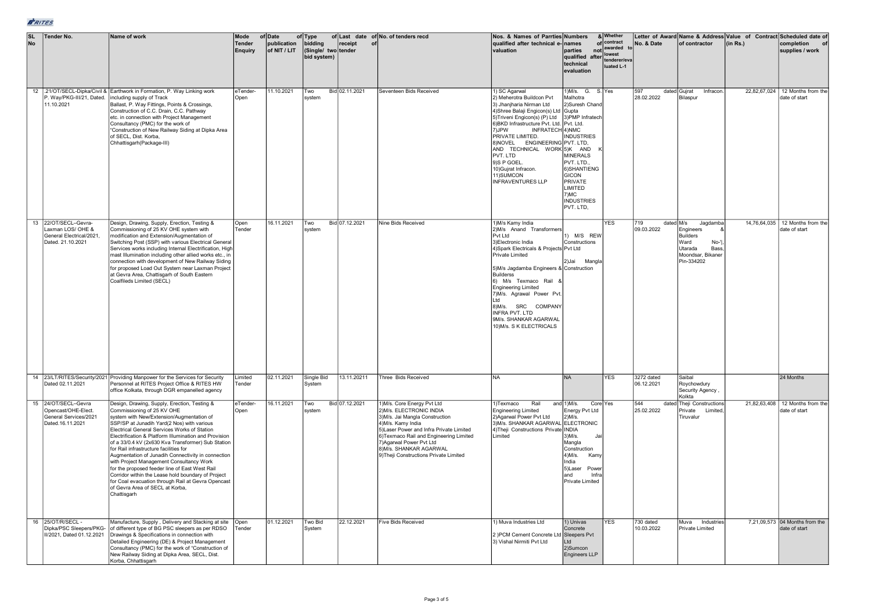| <b>SL</b><br>No | Tender No.                                                                                 | Name of work                                                                                                                                                                                                                                                                                                                                                                                                                                                                                                                                                                                                                                                                                     | Mode<br><b>Tender</b><br><b>Enquiry</b> | of Date<br>publication<br>of NIT / LIT | of Type<br>bidding<br>(Single/ two tender<br>bid system) | receipt<br>of  | of Last date of No. of tenders recd                                                                                                                                                                                                                                                                  | Nos. & Names of Parrties Numbers<br>qualified after technical e-names<br>valuation                                                                                                                                                                                                                                                                                                                                   | parties<br>qualified after<br>technical<br>evaluation                                                                                                                                            | & Whether<br>of contract<br>not awarded to<br>lowest<br>tenderer/eva<br>luated L-1 | No. & Date                     | of contractor                                                                                                    | Letter of Award Name & Address Value of Contract Scheduled date of<br>(in Rs.) | completion<br>supplies / work                      |
|-----------------|--------------------------------------------------------------------------------------------|--------------------------------------------------------------------------------------------------------------------------------------------------------------------------------------------------------------------------------------------------------------------------------------------------------------------------------------------------------------------------------------------------------------------------------------------------------------------------------------------------------------------------------------------------------------------------------------------------------------------------------------------------------------------------------------------------|-----------------------------------------|----------------------------------------|----------------------------------------------------------|----------------|------------------------------------------------------------------------------------------------------------------------------------------------------------------------------------------------------------------------------------------------------------------------------------------------------|----------------------------------------------------------------------------------------------------------------------------------------------------------------------------------------------------------------------------------------------------------------------------------------------------------------------------------------------------------------------------------------------------------------------|--------------------------------------------------------------------------------------------------------------------------------------------------------------------------------------------------|------------------------------------------------------------------------------------|--------------------------------|------------------------------------------------------------------------------------------------------------------|--------------------------------------------------------------------------------|----------------------------------------------------|
|                 | P. Way/PKG-III/21, Dated. including supply of Track<br>11.10.2021                          | 12 .21/OT/SECL-Dipka/Civil & Earthwork in Formation, P. Way Linking work<br>Ballast, P. Way Fittings, Points & Crossings,<br>Construction of C.C. Drain, C.C. Pathway<br>etc. in connection with Project Management<br>Consultancy (PMC) for the work of<br>"Construction of New Railway Siding at Dipka Area<br>of SECL, Dist. Korba,<br>Chhattisgarh(Package-III)                                                                                                                                                                                                                                                                                                                              | eTender-<br>Open                        | 11.10.2021                             | Two<br>system                                            | Bid 02.11.2021 | Seventeen Bids Received                                                                                                                                                                                                                                                                              | 1) SC Agarwal<br>2) Meherotra Buildcon Pvt<br>3) Jhanjharia Nirman Ltd<br>4) Shree Balaji Engicon(s) Ltd Gupta<br>5) Triveni Engicon(s) (P) Ltd 3) PMP Infratech<br>6) BKD Infrastructure Pvt. Ltd. Pvt. Ltd.<br>7)JPW<br>INFRATECH 4) NMC<br>PRIVATE LIMITED.<br>8) NOVEL ENGINEERING PVT. LTD.<br>AND TECHNICAL WORK 5)K AND<br>PVT. LTD<br>9)S P GOEL.<br>10) Gujrat Infracon.<br>11) SUMCON<br>INFRAVENTURES LLP | $1)$ M/s. G.<br>Malhotra<br>2)Suresh Chand<br><b>INDUSTRIES</b><br><b>MINERALS</b><br>PVT. LTD.,<br>6) SHANTIENG<br><b>GICON</b><br>PRIVATE<br>LIMITED<br>7)MC<br><b>INDUSTRIES</b><br>PVT. LTD, | S.Yes                                                                              | 597<br>28.02.2022              | Infracon.<br>dated Gujrat<br>Bilaspur                                                                            |                                                                                | 22,82,67,024 12 Months from the<br>date of start   |
|                 | 13 22/OT/SECL-Gevra-<br>Laxman LOS/ OHE &<br>General Electrical/2021,<br>Dated. 21.10.2021 | Design, Drawing, Supply, Erection, Testing &<br>Commissioning of 25 KV OHE system with<br>modification and Extension/Augmentation of<br>Switching Post (SSP) with various Electrical General<br>Services works including Internal Electrification, High<br>mast Illumination including other allied works etc., in<br>connection with development of New Railway Siding<br>for proposed Load Out System near Laxman Project<br>at Gevra Area, Chattisgarh of South Eastern<br>Coalfileds Limited (SECL)                                                                                                                                                                                          | Open<br>Tender                          | 16.11.2021                             | Two<br>system                                            | Bid 07.12.2021 | Nine Bids Received                                                                                                                                                                                                                                                                                   | 1) M/s Kamy India<br>M/s Anand Transformers<br>Pvt Ltd<br>3) Electronic India<br>4) Spark Electricals & Projects Pvt Ltd<br>Private Limited<br>5)M/s Jagdamba Engineers & Construction<br>Builderss<br>6) M/s Texmaco Rail<br><b>Engineering Limited</b><br>7) M/s. Agrawal Power Pvt<br>ht I<br>8)M/s. SRC COMPANY<br>INFRA PVT. LTD<br>9M/s. SHANKAR AGARWAL<br>10) M/s. S K ELECTRICALS                           | 1) M/S REW<br>Constructions<br>2)Jai<br>Mangla                                                                                                                                                   | <b>YES</b>                                                                         | 719<br>dated M/s<br>09.03.2022 | Jagdamba<br>Engineers<br><b>Builders</b><br>Ward<br>$No-1$<br>Utarada<br>Bass<br>Moondsar, Bikaner<br>Pin-334202 | 14.76.64.035                                                                   | 12 Months from the<br>late of start                |
|                 | Dated 02.11.2021                                                                           | 14 23/LT/RITES/Security/2021 Providing Manpower for the Services for Security<br>Personnel at RITES Project Office & RITES HW<br>office Kolkata, through DGR empanelled agency                                                                                                                                                                                                                                                                                                                                                                                                                                                                                                                   | Limited<br>Tender                       | 02.11.2021                             | Single Bid<br>System                                     | 13.11.20211    | Three Bids Received                                                                                                                                                                                                                                                                                  | <b>NA</b>                                                                                                                                                                                                                                                                                                                                                                                                            | <b>NA</b>                                                                                                                                                                                        | <b>YES</b>                                                                         | 3272 dated<br>06.12.2021       | Saibal<br>Roychowdury<br>Security Agency<br>Kolkta                                                               |                                                                                | 24 Months                                          |
|                 | 15 24/OT/SECL-Gevra<br>Opencast/OHE-Elect.<br>General Services/2021<br>Dated. 16.11.2021   | Design, Drawing, Supply, Erection, Testing &<br>Commissioning of 25 KV OHE<br>system with New/Extension/Augmentation of<br>SSP/SP at Junadih Yard(2 Nos) with various<br>Electrical General Services Works of Station<br>Electrification & Platform Illumination and Provision<br>of a 33/0.4 kV (2x630 Kva Transformer) Sub Station<br>for Rail infrastructure facilities for<br>Augmentation of Junadih Connectivity in connection<br>with Project Management Consultancy Work<br>for the proposed feeder line of East West Rail<br>Corridor within the Lease hold boundary of Project<br>for Coal evacuation through Rail at Gevra Opencast<br>of Gevra Area of SECL at Korba,<br>Chattisgarh | eTender-<br>Open                        | 16.11.2021                             | Two<br>system                                            | Bid 07.12.2021 | 1) M/s. Core Energy Pvt Ltd<br>2) M/s. ELECTRONIC INDIA<br>3)M/s. Jai Mangla Construction<br>4)M/s. Kamy India<br>5) Laser Power and Infra Private Limited<br>6)Texmaco Rail and Engineering Limited<br>7) Agarwal Power Pvt Ltd<br>8) M/s. SHANKAR AGARWAL<br>9)Theji Constructions Private Limited | 1) Texmaco<br>Rail<br><b>Engineering Limited</b><br>2) Agarwal Power Pyt Ltd<br>3) M/s. SHANKAR AGARWAL ELECTRONIC<br>4) Theji Constructions Private INDIA<br>Limited                                                                                                                                                                                                                                                | and $1)$ M/s.<br>Energy Pvt Ltd<br>$2)$ M/s.<br>$3$ ) $M/s$ .<br>.la<br>Mangla<br>Construction<br>$4)$ M/s.<br>Kamy<br>India<br>5)Laser<br>Power<br>and<br>Infra<br>Private Limited              | Core Yes                                                                           | 544<br>25.02.2022              | dated Theji Constructions<br>Private<br>Limited,<br>Tiruvalur                                                    |                                                                                | 21,82,63,408   12 Months from the<br>date of start |
|                 | 16 25/OT/R/SECL -<br>Dipka/PSC Sleepers/PKG-<br>II/2021. Dated 01.12.2021                  | Manufacture, Supply, Delivery and Stacking at site Open<br>of different type of BG PSC sleepers as per RDSO<br>Drawings & Specifications in connection with<br>Detailed Engineering (DE) & Project Management<br>Consultancy (PMC) for the work of "Construction of<br>New Railway Siding at Dipka Area, SECL, Dist.<br>Korba, Chhattisgarh                                                                                                                                                                                                                                                                                                                                                      | Tender                                  | 01.12.2021                             | <b>Two Bid</b><br>System                                 | 22.12.2021     | Five Bids Received                                                                                                                                                                                                                                                                                   | 1) Muva Industries Ltd<br>: )PCM Cement Concrete Ltd Sleepers Pvt<br>3) Vishal Nirmiti Pvt Ltd                                                                                                                                                                                                                                                                                                                       | 1) Univas<br>Concrete<br>Ltd<br>2)Sumcon<br>Engineers LLP                                                                                                                                        | <b>YES</b>                                                                         | 730 dated<br>10.03.2022        | Muva Industries<br>Private Limited                                                                               |                                                                                | 7.21.09.573 04 Months from the<br>date of start    |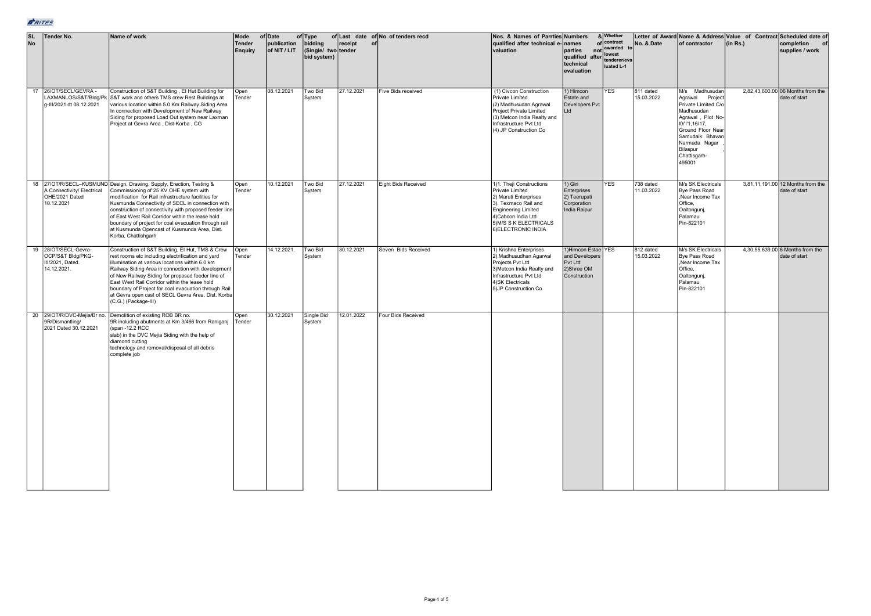| SL | <b>No</b> | <b>Tender No.</b>                                                           | Name of work                                                                                                                                                                                                                                                                                                                                                                                                                                                           | Mode<br><b>Tender</b><br>Enguiry | of Date<br>publication<br>of NIT / LIT | of Type<br>bidding<br>(Single/ two tender<br>bid system) | receipt<br>of | of Last date of No. of tenders recd | Nos. & Names of Parrties Numbers<br>qualified after technical e-names<br>valuation                                                                                                                 | parties<br>qualified after lowest<br>technical<br>evaluation                  | & Whether<br>of contract<br>not awarded<br>tenderer/eva<br>luated L-1 | No. & Date              | of contractor                                                                                                                                                                                                 | Letter of Award Name & Address Value of Contract Scheduled date of<br>(in Rs.) | completion<br>of<br>supplies / work                |
|----|-----------|-----------------------------------------------------------------------------|------------------------------------------------------------------------------------------------------------------------------------------------------------------------------------------------------------------------------------------------------------------------------------------------------------------------------------------------------------------------------------------------------------------------------------------------------------------------|----------------------------------|----------------------------------------|----------------------------------------------------------|---------------|-------------------------------------|----------------------------------------------------------------------------------------------------------------------------------------------------------------------------------------------------|-------------------------------------------------------------------------------|-----------------------------------------------------------------------|-------------------------|---------------------------------------------------------------------------------------------------------------------------------------------------------------------------------------------------------------|--------------------------------------------------------------------------------|----------------------------------------------------|
|    | 17        | 26/OT/SECL/GEVRA-<br>g-III/2021 dt 08.12.2021                               | Construction of S&T Building, El Hut Building for<br>LAXMANLOS/S&T/Bldg/Pk S&T work and others TMS crew Rest Buildings at<br>various location within 5.0 Km Railway Siding Area<br>In connection with Development of New Railway<br>Siding for proposed Load Out system near Laxman<br>Project at Gevra Area, Dist-Korba, CG                                                                                                                                           | Open<br>Tender                   | 08.12.2021                             | Two Bid<br>System                                        | 27.12.2021    | Five Bids received                  | (1) Civcon Construction<br>Private Limited<br>(2) Madhusudan Agrawal<br>Project Private Limited<br>(3) Metcon India Realty and<br>Infrastructure Pvt Ltd<br>(4) JP Construction Co                 | 1) Himcon<br>Estate and<br>Developers Pvt<br>Ltd                              | <b>YES</b>                                                            | 811 dated<br>15.03.2022 | M/s Madhusudan<br>Agrawal<br>Project<br>Private Limited C/o<br>Madhusudan<br>Agrawal, Plot No-<br>10/11,16/17,<br>Ground Floor Near<br>Samudaik Bhavan<br>Narmada Nagar<br>Bilaspur<br>Chattisgarh-<br>495001 |                                                                                | 2.82.43.600.00 06 Months from the<br>date of start |
|    |           | A Connectivity/ Electrical<br>OHE/2021 Dated<br>10.12.2021                  | 18 27/OT/R/SECL-KUSMUND Design, Drawing, Supply, Erection, Testing &<br>Commissioning of 25 KV OHE system with<br>modification for Rail infrastructure facilities for<br>Kusmunda Connectivity of SECL in connection with<br>construction of connectivity with proposed feeder line<br>of East West Rail Corridor within the lease hold<br>boundary of project for coal evacuation through rail<br>at Kusmunda Opencast of Kusmunda Area, Dist.<br>Korba, Chattishgarh | Open<br>Tender                   | 10.12.2021                             | Two Bid<br>System                                        | 27.12.2021    | Eight Bids Received                 | 1)1. Theji Constructions<br>Private Limited<br>2) Maruti Enterprises<br>3). Texmaco Rail and<br><b>Engineering Limited</b><br>4) Cabcon India Ltd<br>5) M/S S K ELECTRICALS<br>6) ELECTRONIC INDIA | 1) Giri<br>Enterprises<br>2) Teerupati<br>Corporation<br>India Raipur         | <b>YES</b>                                                            | 738 dated<br>11.03.2022 | M/s SK Electricals<br><b>Bve Pass Road</b><br>Near Income Tax<br>Office,<br>Oaltongunj,<br>Palamau<br>Pin-822101                                                                                              |                                                                                | 3.81.11.191.00 12 Months from the<br>date of start |
|    |           | 19 28/OT/SECL-Gevra-<br>OCP/S&T Bldg/PKG-<br>II/2021, Dated.<br>14.12.2021. | Construction of S&T Building, El Hut, TMS & Crew<br>rest rooms etc including electrification and yard<br>illumination at various locations within 6.0 km<br>Railway Siding Area in connection with development<br>of New Railway Siding for proposed feeder line of<br>East West Rail Corridor within the lease hold<br>boundary of Project for coal evacuation through Rail<br>at Gevra open cast of SECL Gevra Area, Dist. Korba<br>(C.G.) (Package-III)             | Open<br>Tender                   | 14.12.2021.                            | Two Bid<br>System                                        | 30.12.2021    | Seven Bids Received                 | 1) Krishna Enterprises<br>2) Madhusudhan Agarwal<br>Projects Pvt Ltd<br>3) Metcon India Realty and<br>Infrastructure Pvt Ltd<br>4) SK Electricals<br>5) JP Construction Co                         | 1)Himcon Estae YES<br>and Developers<br>Pvt Ltd<br>2)Shree OM<br>Construction |                                                                       | 812 dated<br>15.03.2022 | M/s SK Electricals<br><b>Bye Pass Road</b><br>Near Income Tax<br>Office,<br>Oaltongunj,<br>Palamau<br>Pin-822101                                                                                              |                                                                                | 4,30,55,639.00 6 Months from the<br>date of start  |
|    |           | 9R/Dismantling/<br>2021 Dated 30.12.2021                                    | 20 29/OT/R/DVC-Mejia/Br no. Demolition of existing ROB BR no.<br>9R including abutments at Km 3/466 from Raniganj<br>(span -12.2 RCC<br>slab) in the DVC Mejia Siding with the help of<br>diamond cutting<br>technology and removal/disposal of all debris<br>complete job                                                                                                                                                                                             | Open<br>Tender                   | 30.12.2021                             | Single Bid<br>System                                     | 12.01.2022    | Four Bids Received                  |                                                                                                                                                                                                    |                                                                               |                                                                       |                         |                                                                                                                                                                                                               |                                                                                |                                                    |